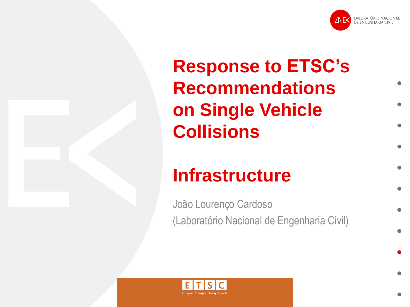

# **Response to ETSC's Recommendations on Single Vehicle Collisions**

## **Infrastructure**

João Lourenço Cardoso (Laboratório Nacional de Engenharia Civil)

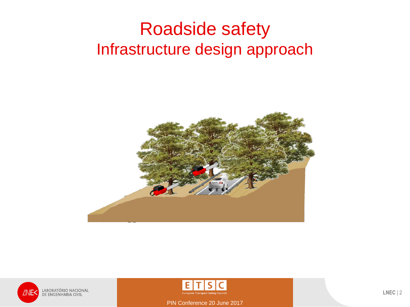#### Roadside safety Infrastructure design approach





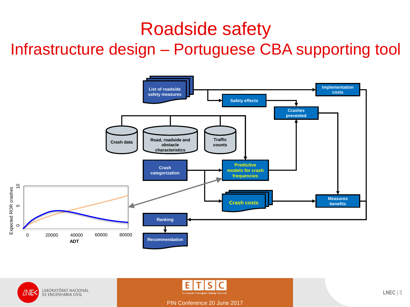#### Roadside safety

Infrastructure design – Portuguese CBA supporting tool





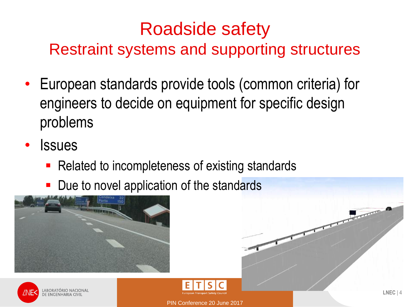# Roadside safety

Restraint systems and supporting structures

- European standards provide tools (common criteria) for engineers to decide on equipment for specific design problems
- **Issues** 
	- Related to incompleteness of existing standards
	- Due to novel application of the standards